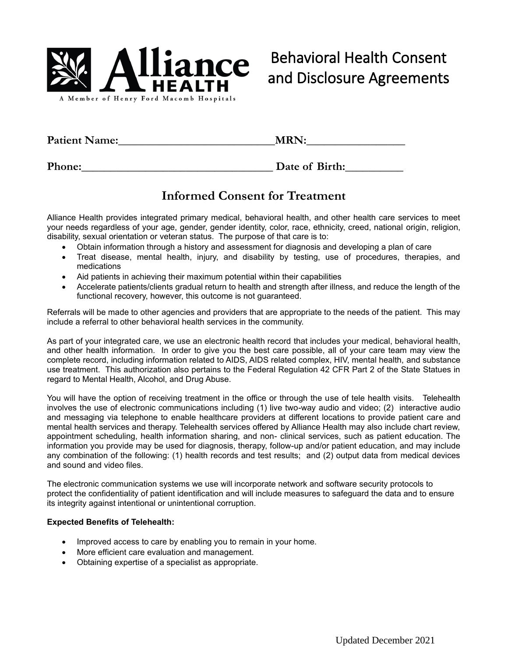

| <b>Patient Name:</b> | <b>MRN:</b> |  |  |
|----------------------|-------------|--|--|
|                      |             |  |  |

**Phone:\_\_\_\_\_\_\_\_\_\_\_\_\_\_\_\_\_\_\_\_\_\_\_\_\_\_\_\_\_\_\_\_\_ Date of Birth:\_\_\_\_\_\_\_\_\_\_**

# **Informed Consent for Treatment**

Alliance Health provides integrated primary medical, behavioral health, and other health care services to meet your needs regardless of your age, gender, gender identity, color, race, ethnicity, creed, national origin, religion, disability, sexual orientation or veteran status. The purpose of that care is to:

- Obtain information through a history and assessment for diagnosis and developing a plan of care
- Treat disease, mental health, injury, and disability by testing, use of procedures, therapies, and medications
- Aid patients in achieving their maximum potential within their capabilities
- Accelerate patients/clients gradual return to health and strength after illness, and reduce the length of the functional recovery, however, this outcome is not guaranteed.

Referrals will be made to other agencies and providers that are appropriate to the needs of the patient. This may include a referral to other behavioral health services in the community.

As part of your integrated care, we use an electronic health record that includes your medical, behavioral health, and other health information. In order to give you the best care possible, all of your care team may view the complete record, including information related to AIDS, AIDS related complex, HIV, mental health, and substance use treatment. This authorization also pertains to the Federal Regulation 42 CFR Part 2 of the State Statues in regard to Mental Health, Alcohol, and Drug Abuse.

You will have the option of receiving treatment in the office or through the use of tele health visits. Telehealth involves the use of electronic communications including (1) live two-way audio and video; (2) interactive audio and messaging via telephone to enable healthcare providers at different locations to provide patient care and mental health services and therapy. Telehealth services offered by Alliance Health may also include chart review, appointment scheduling, health information sharing, and non- clinical services, such as patient education. The information you provide may be used for diagnosis, therapy, follow-up and/or patient education, and may include any combination of the following: (1) health records and test results; and (2) output data from medical devices and sound and video files.

The electronic communication systems we use will incorporate network and software security protocols to protect the confidentiality of patient identification and will include measures to safeguard the data and to ensure its integrity against intentional or unintentional corruption.

### **Expected Benefits of Telehealth:**

- Improved access to care by enabling you to remain in your home.
- More efficient care evaluation and management.
- Obtaining expertise of a specialist as appropriate.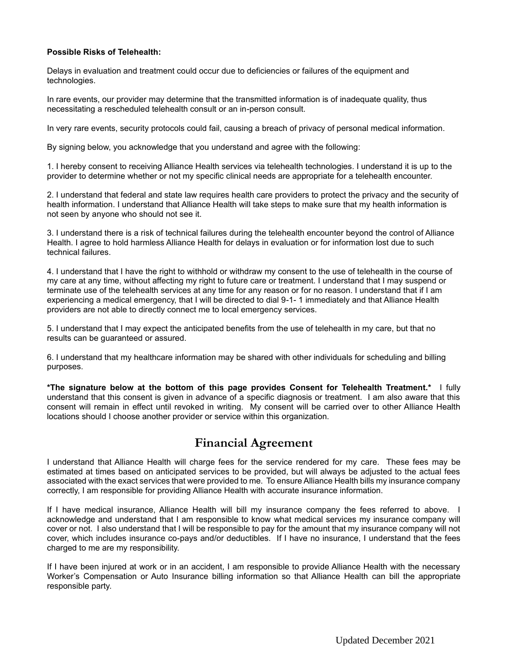#### **Possible Risks of Telehealth:**

Delays in evaluation and treatment could occur due to deficiencies or failures of the equipment and technologies.

In rare events, our provider may determine that the transmitted information is of inadequate quality, thus necessitating a rescheduled telehealth consult or an in-person consult.

In very rare events, security protocols could fail, causing a breach of privacy of personal medical information.

By signing below, you acknowledge that you understand and agree with the following:

1. I hereby consent to receiving Alliance Health services via telehealth technologies. I understand it is up to the provider to determine whether or not my specific clinical needs are appropriate for a telehealth encounter.

2. I understand that federal and state law requires health care providers to protect the privacy and the security of health information. I understand that Alliance Health will take steps to make sure that my health information is not seen by anyone who should not see it.

3. I understand there is a risk of technical failures during the telehealth encounter beyond the control of Alliance Health. I agree to hold harmless Alliance Health for delays in evaluation or for information lost due to such technical failures.

4. I understand that I have the right to withhold or withdraw my consent to the use of telehealth in the course of my care at any time, without affecting my right to future care or treatment. I understand that I may suspend or terminate use of the telehealth services at any time for any reason or for no reason. I understand that if I am experiencing a medical emergency, that I will be directed to dial 9-1- 1 immediately and that Alliance Health providers are not able to directly connect me to local emergency services.

5. I understand that I may expect the anticipated benefits from the use of telehealth in my care, but that no results can be guaranteed or assured.

6. I understand that my healthcare information may be shared with other individuals for scheduling and billing purposes.

**\*The signature below at the bottom of this page provides Consent for Telehealth Treatment.\*** I fully understand that this consent is given in advance of a specific diagnosis or treatment. I am also aware that this consent will remain in effect until revoked in writing. My consent will be carried over to other Alliance Health locations should I choose another provider or service within this organization.

### **Financial Agreement**

I understand that Alliance Health will charge fees for the service rendered for my care. These fees may be estimated at times based on anticipated services to be provided, but will always be adjusted to the actual fees associated with the exact services that were provided to me. To ensure Alliance Health bills my insurance company correctly, I am responsible for providing Alliance Health with accurate insurance information.

If I have medical insurance, Alliance Health will bill my insurance company the fees referred to above. I acknowledge and understand that I am responsible to know what medical services my insurance company will cover or not. I also understand that I will be responsible to pay for the amount that my insurance company will not cover, which includes insurance co-pays and/or deductibles. If I have no insurance, I understand that the fees charged to me are my responsibility.

If I have been injured at work or in an accident, I am responsible to provide Alliance Health with the necessary Worker's Compensation or Auto Insurance billing information so that Alliance Health can bill the appropriate responsible party.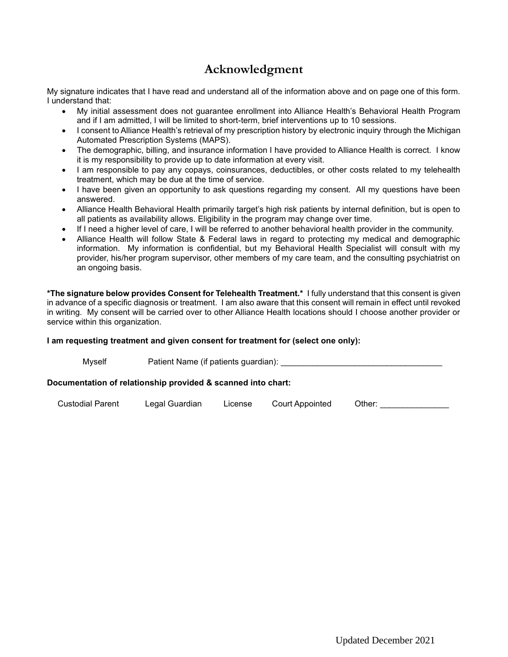# **Acknowledgment**

My signature indicates that I have read and understand all of the information above and on page one of this form. I understand that:

- My initial assessment does not guarantee enrollment into Alliance Health's Behavioral Health Program and if I am admitted, I will be limited to short-term, brief interventions up to 10 sessions.
- I consent to Alliance Health's retrieval of my prescription history by electronic inquiry through the Michigan Automated Prescription Systems (MAPS).
- The demographic, billing, and insurance information I have provided to Alliance Health is correct. I know it is my responsibility to provide up to date information at every visit.
- I am responsible to pay any copays, coinsurances, deductibles, or other costs related to my telehealth treatment, which may be due at the time of service.
- I have been given an opportunity to ask questions regarding my consent. All my questions have been answered.
- Alliance Health Behavioral Health primarily target's high risk patients by internal definition, but is open to all patients as availability allows. Eligibility in the program may change over time.
- If I need a higher level of care, I will be referred to another behavioral health provider in the community.
- Alliance Health will follow State & Federal laws in regard to protecting my medical and demographic information. My information is confidential, but my Behavioral Health Specialist will consult with my provider, his/her program supervisor, other members of my care team, and the consulting psychiatrist on an ongoing basis.

**\*The signature below provides Consent for Telehealth Treatment.\*** I fully understand that this consent is given in advance of a specific diagnosis or treatment. I am also aware that this consent will remain in effect until revoked in writing. My consent will be carried over to other Alliance Health locations should I choose another provider or service within this organization.

### **I am requesting treatment and given consent for treatment for (select one only):**

| Mvself                                                       | Patient Name (if patients guardian): |  |
|--------------------------------------------------------------|--------------------------------------|--|
| Documentation of relationship provided & scanned into chart: |                                      |  |

Custodial Parent Legal Guardian License Court Appointed Other: \_\_\_\_\_\_\_\_\_\_\_